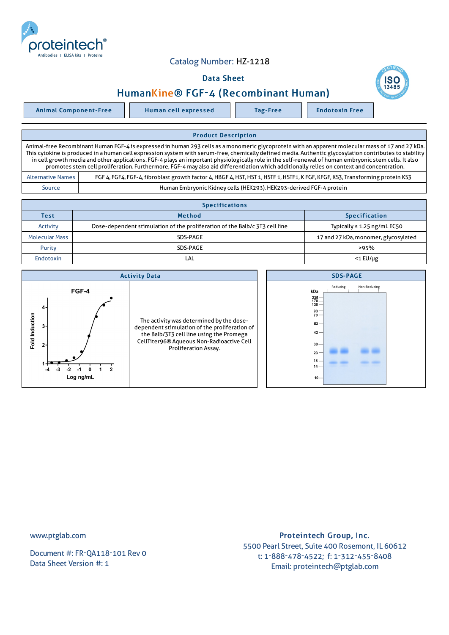

## Catalog Number: HZ-1218

## Data Sheet



Animal Component-Free Human cell expressed Tag-Free Tag Endotoxin Free

## Product Description Animal-free Recombinant Human FGF-4 is expressed in human 293 cells as a monomeric glycoprotein with an apparent molecular mass of 17 and 27 kDa. This cytokine is produced in a human cell expression system with serum-free, chemically defined media. Authentic glycosylation contributes to stability in cell growth media and other applications. FGF-4 plays an important physiologically role in the self-renewal of human embryonic stem cells. It also promotes stem cell proliferation. Furthermore, FGF-4 may also aid differentiation which additionally relies on context and concentration. Alternative Names FGF 4, FGF4, FGF-4, fibroblast growth factor 4, HBGF 4, HST, HST 1, HSTF 1, KFGF, KFGF, KFGF, KS3, Transforming protein KS3

Source Human Embryonic Kidney cells (HEK293).HEK293-derived FGF-4 protein

| <b>Specifications</b> |                                                                             |                                      |  |  |  |
|-----------------------|-----------------------------------------------------------------------------|--------------------------------------|--|--|--|
| <b>Test</b>           | <b>Method</b>                                                               | <b>Specification</b>                 |  |  |  |
| Activity              | Dose-dependent stimulation of the proliferation of the Balb/c 3T3 cell line | Typically $\leq 1.25$ ng/mL EC50     |  |  |  |
| <b>Molecular Mass</b> | SDS-PAGE                                                                    | 17 and 27 kDa, monomer, glycosylated |  |  |  |
| Purity                | SDS-PAGE                                                                    | >95%                                 |  |  |  |
| <b>Endotoxin</b>      | LAL                                                                         | $<$ 1 $E$ U/µg                       |  |  |  |



www.ptglab.com

Document #: FR-QA118-101 Rev 0 Data Sheet Version #: 1

## Proteintech Group, Inc. 5500 Pearl Street, Suite 400 Rosemont, IL 60612 t: 1-888-478-4522; f: 1-312-455-8408 Email: proteintech@ptglab.com